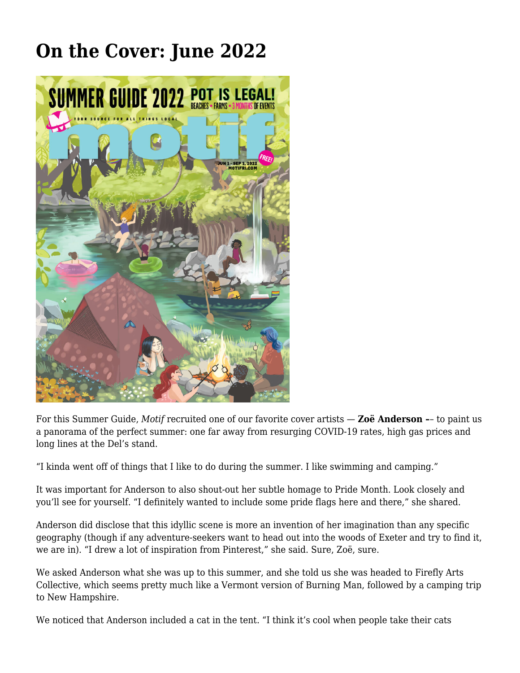## **[On the Cover: June 2022](https://motifri.com/on-the-cover-june-2022/)**



For this Summer Guide, *Motif* recruited one of our favorite cover artists — **Zoë Anderson –**– to paint us a panorama of the perfect summer: one far away from resurging COVID-19 rates, high gas prices and long lines at the Del's stand.

"I kinda went off of things that I like to do during the summer. I like swimming and camping."

It was important for Anderson to also shout-out her subtle homage to Pride Month. Look closely and you'll see for yourself. "I definitely wanted to include some pride flags here and there," she shared.

Anderson did disclose that this idyllic scene is more an invention of her imagination than any specific geography (though if any adventure-seekers want to head out into the woods of Exeter and try to find it, we are in). "I drew a lot of inspiration from Pinterest," she said. Sure, Zoë, sure.

We asked Anderson what she was up to this summer, and she told us she was headed to Firefly Arts Collective, which seems pretty much like a Vermont version of Burning Man, followed by a camping trip to New Hampshire.

We noticed that Anderson included a cat in the tent. "I think it's cool when people take their cats